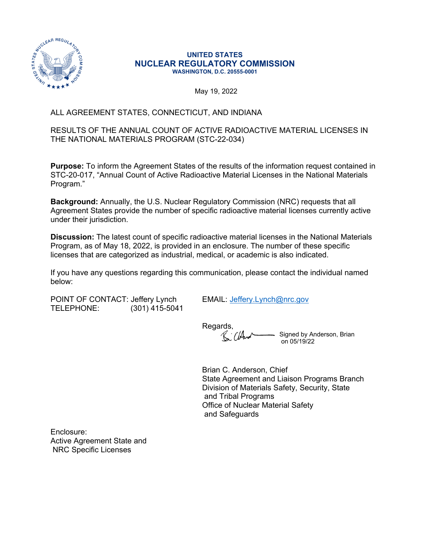

#### **UNITED STATES NUCLEAR REGULATORY COMMISSION WASHINGTON, D.C. 20555-0001**

May 19, 2022

# ALL AGREEMENT STATES, CONNECTICUT, AND INDIANA

## RESULTS OF THE ANNUAL COUNT OF ACTIVE RADIOACTIVE MATERIAL LICENSES IN THE NATIONAL MATERIALS PROGRAM (STC-22-034)

**Purpose:** To inform the Agreement States of the results of the information request contained in STC-20-017, "Annual Count of Active Radioactive Material Licenses in the National Materials Program."

**Background:** Annually, the U.S. Nuclear Regulatory Commission (NRC) requests that all Agreement States provide the number of specific radioactive material licenses currently active under their jurisdiction.

**Discussion:** The latest count of specific radioactive material licenses in the National Materials Program, as of May 18, 2022, is provided in an enclosure. The number of these specific licenses that are categorized as industrial, medical, or academic is also indicated.

If you have any questions regarding this communication, please contact the individual named below:

POINT OF CONTACT: Jeffery Lynch EMAIL: [Jeffery.Lynch@nrc.gov](mailto:Jeffery.Lynch@nrc.gov) TELEPHONE: (301) 415-5041

Regards, R. ClAnd

Signed by Anderson, Brian on 05/19/22

Brian C. Anderson, Chief State Agreement and Liaison Programs Branch Division of Materials Safety, Security, State and Tribal Programs Office of Nuclear Material Safety and Safeguards

Enclosure: Active Agreement State and NRC Specific Licenses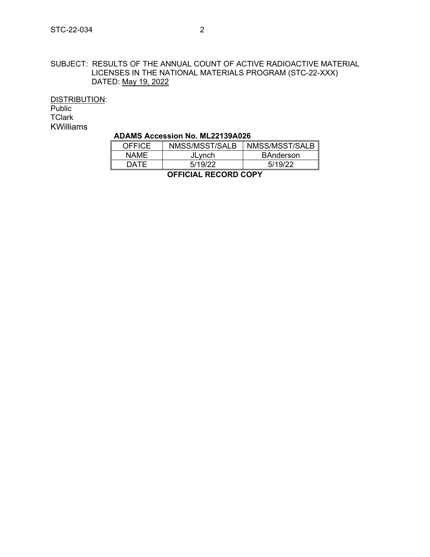### SUBJECT: RESULTS OF THE ANNUAL COUNT OF ACTIVE RADIOACTIVE MATERIAL LICENSES IN THE NATIONAL MATERIALS PROGRAM (STC-22-XXX) DATED: May 19, 2022

DISTRIBUTION: Public

**TClark** KWilliams

### **ADAMS Accession No. ML22139A026**

| <b>OFFICE</b>               | NMSS/MSST/SALB | NMSS/MSST/SALB   |  |  |
|-----------------------------|----------------|------------------|--|--|
| NAMF.                       | JLynch         | <b>BAnderson</b> |  |  |
| DATF.                       | 5/19/22        | 5/19/22          |  |  |
| <b>OFFICIAL RECORD COPY</b> |                |                  |  |  |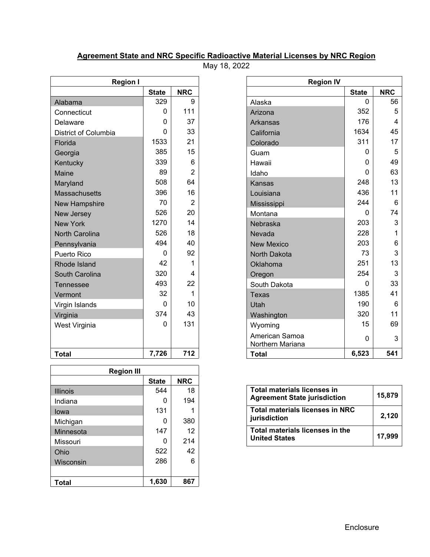# **Agreement State and NRC Specific Radioactive Material Licenses by NRC Region**

May 18, 2022

| <b>Region I</b>       |              |                |  |  |  |
|-----------------------|--------------|----------------|--|--|--|
|                       | <b>State</b> | <b>NRC</b>     |  |  |  |
| Alabama               | 329          | 9              |  |  |  |
| Connecticut           | 0            | 111            |  |  |  |
| Delaware              | O            | 37             |  |  |  |
| District of Columbia  | U            | 33             |  |  |  |
| Florida               | 1533         | 21             |  |  |  |
| Georgia               | 385          | 15             |  |  |  |
| Kentucky              | 339          | 6              |  |  |  |
| Maine                 | 89           | $\overline{2}$ |  |  |  |
| Maryland              | 508          | 64             |  |  |  |
| <b>Massachusetts</b>  | 396          | 16             |  |  |  |
| <b>New Hampshire</b>  | 70           | 2              |  |  |  |
| <b>New Jersey</b>     | 526          | 20             |  |  |  |
| <b>New York</b>       | 1270         | 14             |  |  |  |
| <b>North Carolina</b> | 526          | 18             |  |  |  |
| Pennsylvania          | 494          | 40             |  |  |  |
| Puerto Rico           | ი            | 92             |  |  |  |
| Rhode Island          | 42           | 1              |  |  |  |
| South Carolina        | 320          | 4              |  |  |  |
| Tennessee             | 493          | 22             |  |  |  |
| Vermont               | 32           | 1              |  |  |  |
| Virgin Islands        | O            | 10             |  |  |  |
| Virginia              | 374          | 43             |  |  |  |
| West Virginia         | 0            | 131            |  |  |  |
|                       |              |                |  |  |  |
| <b>Total</b>          | 7,726        | 712            |  |  |  |

r

| <b>Region III</b> |              |            |  |  |  |
|-------------------|--------------|------------|--|--|--|
|                   | <b>State</b> | <b>NRC</b> |  |  |  |
| <b>Illinois</b>   | 544          | 18         |  |  |  |
| Indiana           | O            | 194        |  |  |  |
| lowa              | 131          |            |  |  |  |
| Michigan          | O            | 380        |  |  |  |
| Minnesota         | 147          | 12         |  |  |  |
| Missouri          |              | 214        |  |  |  |
| Ohio              | 522          | 42         |  |  |  |
| Wisconsin         | 286          | 6          |  |  |  |
|                   |              |            |  |  |  |
| <b>Total</b>      | 1,630        | 867        |  |  |  |

| <b>Region I</b>       |              |                | <b>Region IV</b>                   |              |                |
|-----------------------|--------------|----------------|------------------------------------|--------------|----------------|
|                       | <b>State</b> | <b>NRC</b>     |                                    | <b>State</b> | <b>NRC</b>     |
| Alabama               | 329          | 9              | Alaska                             | $\Omega$     | 56             |
| Connecticut           | 0            | 111            | Arizona                            | 352          | 5              |
| Delaware              | 0            | 37             | <b>Arkansas</b>                    | 176          | $\overline{4}$ |
| District of Columbia  | 0            | 33             | California                         | 1634         | 45             |
| Florida               | 1533         | 21             | Colorado                           | 311          | 17             |
| Georgia               | 385          | 15             | Guam                               | $\mathbf{0}$ | 5              |
| Kentucky              | 339          | 6              | Hawaii                             | $\Omega$     | 49             |
| Maine                 | 89           | 2              | Idaho                              | $\Omega$     | 63             |
| Maryland              | 508          | 64             | Kansas                             | 248          | 13             |
| <b>Massachusetts</b>  | 396          | 16             | Louisiana                          | 436          | 11             |
| New Hampshire         | 70           | $\overline{2}$ | Mississippi                        | 244          | 6              |
| <b>New Jersey</b>     | 526          | 20             | Montana                            | $\Omega$     | 74             |
| <b>New York</b>       | 1270         | 14             | Nebraska                           | 203          | 3              |
| <b>North Carolina</b> | 526          | 18             | Nevada                             | 228          | 1              |
| Pennsylvania          | 494          | 40             | <b>New Mexico</b>                  | 203          | 6              |
| Puerto Rico           | 0            | 92             | North Dakota                       | 73           | 3              |
| Rhode Island          | 42           | 1              | Oklahoma                           | 251          | 13             |
| South Carolina        | 320          | 4              | Oregon                             | 254          | 3              |
| Tennessee             | 493          | 22             | South Dakota                       | $\mathbf{0}$ | 33             |
| Vermont               | 32           | 1              | <b>Texas</b>                       | 1385         | 41             |
| Virgin Islands        | 0            | 10             | Utah                               | 190          | 6              |
| Virginia              | 374          | 43             | Washington                         | 320          | 11             |
| West Virginia         | 0            | 131            | Wyoming                            | 15           | 69             |
|                       |              |                | American Samoa<br>Northern Mariana | $\mathbf 0$  | 3              |
| Total                 | 7,726        | 712            | <b>Total</b>                       | 6,523        | 541            |

| Total materials licenses in<br><b>Agreement State jurisdiction</b> | 15,879 |
|--------------------------------------------------------------------|--------|
| Total materials licenses in NRC<br>jurisdiction                    | 2,120  |
| <b>Total materials licenses in the</b><br><b>United States</b>     | 17.999 |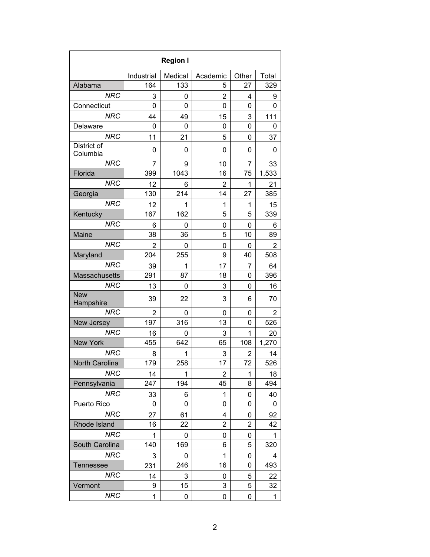| <b>Region I</b>         |            |         |                |                |       |
|-------------------------|------------|---------|----------------|----------------|-------|
|                         | Industrial | Medical | Academic       | Other          | Total |
| Alabama                 | 164        | 133     | 5              | 27             | 329   |
| <b>NRC</b>              | 3          | 0       | 2              | 4              | 9     |
| Connecticut             | 0          | 0       | 0              | 0              | 0     |
| <b>NRC</b>              | 44         | 49      | 15             | 3              | 111   |
| Delaware                | 0          | 0       | 0              | 0              | 0     |
| <b>NRC</b>              | 11         | 21      | 5              | 0              | 37    |
| District of<br>Columbia | 0          | 0       | 0              | 0              | 0     |
| <b>NRC</b>              | 7          | 9       | 10             | 7              | 33    |
| Florida                 | 399        | 1043    | 16             | 75             | 1,533 |
| <b>NRC</b>              | 12         | 6       | $\overline{2}$ | 1              | 21    |
| Georgia                 | 130        | 214     | 14             | 27             | 385   |
| <b>NRC</b>              | 12         | 1       | 1              | 1              | 15    |
| Kentucky                | 167        | 162     | 5              | 5              | 339   |
| <b>NRC</b>              | 6          | 0       | 0              | 0              | 6     |
| Maine                   | 38         | 36      | 5              | 10             | 89    |
| <b>NRC</b>              | 2          | 0       | 0              | 0              | 2     |
| Maryland                | 204        | 255     | 9              | 40             | 508   |
| <b>NRC</b>              | 39         | 1       | 17             | 7              | 64    |
| Massachusetts           | 291        | 87      | 18             | 0              | 396   |
| <b>NRC</b>              | 13         | 0       | 3              | 0              | 16    |
| <b>New</b><br>Hampshire | 39         | 22      | 3              | 6              | 70    |
| <b>NRC</b>              | 2          | 0       | 0              | 0              | 2     |
| New Jersey              | 197        | 316     | 13             | 0              | 526   |
| <b>NRC</b>              | 16         | 0       | 3              | 1              | 20    |
| <b>New York</b>         | 455        | 642     | 65             | 108            | 1,270 |
| <b>NRC</b>              | 8          | 1       | 3              | 2              | 14    |
| North Carolina          | 179        | 258     | 17             | 72             | 526   |
| <b>NRC</b>              | 14         | 1       | $\overline{2}$ | 1              | 18    |
| Pennsylvania            | 247        | 194     | 45             | 8              | 494   |
| <b>NRC</b>              | 33         | 6       | 1              | 0              | 40    |
| Puerto Rico             | 0          | 0       | 0              | 0              | 0     |
| <b>NRC</b>              | 27         | 61      | 4              | 0              | 92    |
| Rhode Island            | 16         | 22      | $\overline{2}$ | $\overline{2}$ | 42    |
| <b>NRC</b>              | 1          | 0       | 0              | 0              | 1     |
| South Carolina          | 140        | 169     | 6              | 5              | 320   |
| <b>NRC</b>              | 3          | 0       | 1              | 0              | 4     |
| <b>Tennessee</b>        | 231        | 246     | 16             | 0              | 493   |
| <b>NRC</b>              | 14         | 3       | 0              | 5              | 22    |
| Vermont                 | 9          | 15      | 3              | 5              | 32    |
| <b>NRC</b>              | 1          | 0       | 0              | 0              | 1     |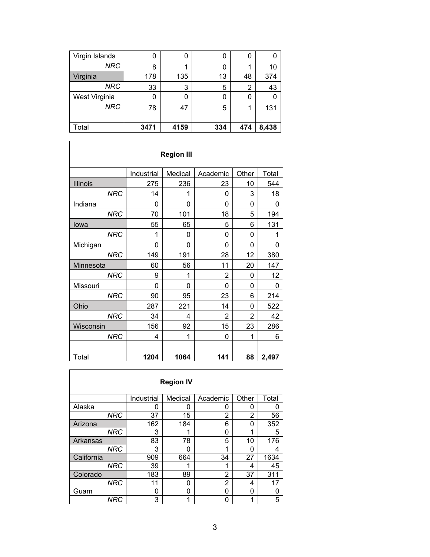| Virgin Islands | U    |      | O   | 0   |       |
|----------------|------|------|-----|-----|-------|
| <b>NRC</b>     | 8    |      |     |     | 10    |
| Virginia       | 178  | 135  | 13  | 48  | 374   |
| <b>NRC</b>     | 33   | 3    | 5   | 2   | 43    |
| West Virginia  | 0    | ი    | 0   | 0   |       |
| <b>NRC</b>     | 78   | 47   | 5   |     | 131   |
|                |      |      |     |     |       |
| Total          | 3471 | 4159 | 334 | 474 | 8,438 |

| <b>Region III</b> |            |         |                |       |       |  |
|-------------------|------------|---------|----------------|-------|-------|--|
|                   | Industrial | Medical | Academic       | Other | Total |  |
| <b>Illinois</b>   | 275        | 236     | 23             | 10    | 544   |  |
| <b>NRC</b>        | 14         | 1       | 0              | 3     | 18    |  |
| Indiana           | 0          | 0       | 0              | 0     | 0     |  |
| <b>NRC</b>        | 70         | 101     | 18             | 5     | 194   |  |
| Iowa              | 55         | 65      | 5              | 6     | 131   |  |
| <b>NRC</b>        | 1          | 0       | 0              | 0     | 1     |  |
| Michigan          | 0          | 0       | 0              | 0     | 0     |  |
| <b>NRC</b>        | 149        | 191     | 28             | 12    | 380   |  |
| Minnesota         | 60         | 56      | 11             | 20    | 147   |  |
| <b>NRC</b>        | 9          | 1       | $\overline{2}$ | 0     | 12    |  |
| Missouri          | 0          | 0       | 0              | 0     | 0     |  |
| <b>NRC</b>        | 90         | 95      | 23             | 6     | 214   |  |
| Ohio              | 287        | 221     | 14             | 0     | 522   |  |
| <b>NRC</b>        | 34         | 4       | 2              | 2     | 42    |  |
| Wisconsin         | 156        | 92      | 15             | 23    | 286   |  |
| <b>NRC</b>        | 4          | 1       | 0              | 1     | 6     |  |
|                   |            |         |                |       |       |  |
| Total             | 1204       | 1064    | 141            | 88    | 2,497 |  |

|                 |            | <b>Region IV</b> |          |                |       |
|-----------------|------------|------------------|----------|----------------|-------|
|                 | Industrial | Medical          | Academic | Other          | Total |
| Alaska          | 0          | 0                | O        | 0              | O     |
| <b>NRC</b>      | 37         | 15               | 2        | $\overline{2}$ | 56    |
| Arizona         | 162        | 184              | 6        | ი              | 352   |
| <b>NRC</b>      | 3          | 1                | 0        | 1              | 5     |
| <b>Arkansas</b> | 83         | 78               | 5        | 10             | 176   |
| <b>NRC</b>      | 3          | O                | 1        | n              | 4     |
| California      | 909        | 664              | 34       | 27             | 1634  |
| <b>NRC</b>      | 39         |                  |          | 4              | 45    |
| Colorado        | 183        | 89               | 2        | 37             | 311   |
| <b>NRC</b>      | 11         | 0                | 2        | 4              | 17    |
| Guam            | 0          | 0                | 0        | 0              | 0     |
| NRC             | 3          | 1                | ŋ        | 1              | 5     |